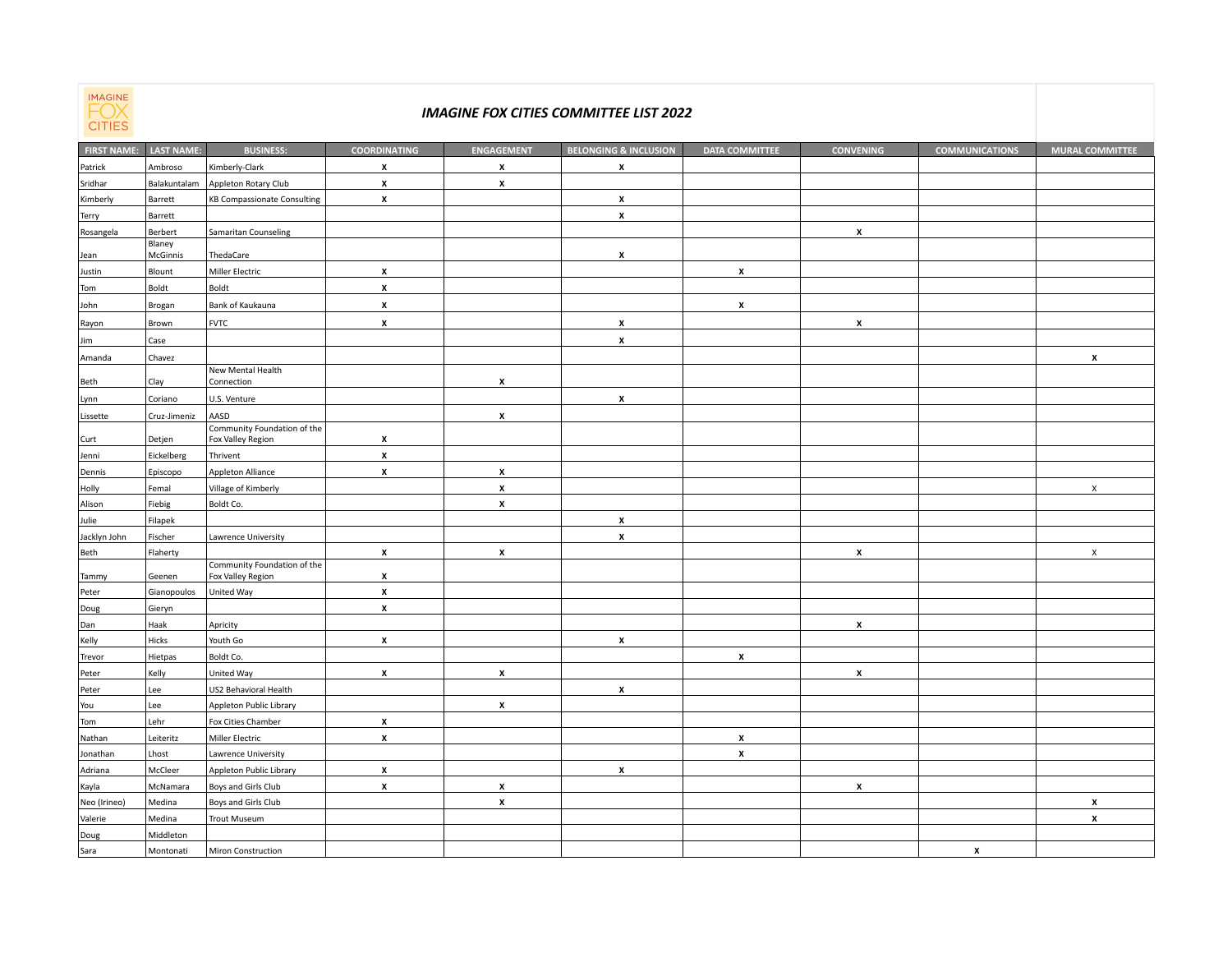

## *IMAGINE FOX CITIES COMMITTEE LIST 2022*

| <b>CILIED</b>      |                    |                                                  |                     |                    |                                  |                       |                    |                       |                           |
|--------------------|--------------------|--------------------------------------------------|---------------------|--------------------|----------------------------------|-----------------------|--------------------|-----------------------|---------------------------|
| <b>FIRST NAME:</b> | <b>LAST NAME:</b>  | <b>BUSINESS:</b>                                 | <b>COORDINATING</b> | <b>ENGAGEMENT</b>  | <b>BELONGING &amp; INCLUSION</b> | <b>DATA COMMITTEE</b> | <b>CONVENING</b>   | <b>COMMUNICATIONS</b> | <b>MURAL COMMITTEE</b>    |
| Patrick            | Ambroso            | Kimberly-Clark                                   | X                   | x                  | X                                |                       |                    |                       |                           |
| Sridhar            | Balakuntalam       | Appleton Rotary Club                             | x                   | $\pmb{\mathsf{x}}$ |                                  |                       |                    |                       |                           |
| Kimberly           | Barrett            | <b>KB Compassionate Consulting</b>               | $\pmb{\mathsf{x}}$  |                    | $\pmb{\mathsf{x}}$               |                       |                    |                       |                           |
| Terry              | Barrett            |                                                  |                     |                    | x                                |                       |                    |                       |                           |
| Rosangela          | Berbert            | Samaritan Counseling                             |                     |                    |                                  |                       | $\mathbf{x}$       |                       |                           |
| Jean               | Blaney<br>McGinnis | ThedaCare                                        |                     |                    | x                                |                       |                    |                       |                           |
| Justin             | Blount             | Miller Electric                                  | X                   |                    |                                  | $\pmb{\mathsf{x}}$    |                    |                       |                           |
| Tom                | Boldt              | Boldt                                            | $\pmb{\mathsf{x}}$  |                    |                                  |                       |                    |                       |                           |
| John               | Brogan             | Bank of Kaukauna                                 | $\pmb{\mathsf{x}}$  |                    |                                  | $\pmb{\mathsf{x}}$    |                    |                       |                           |
| Rayon              | Brown              | <b>FVTC</b>                                      | x                   |                    | $\pmb{\mathsf{x}}$               |                       | $\pmb{\mathsf{x}}$ |                       |                           |
| Jim                | Case               |                                                  |                     |                    | $\pmb{\times}$                   |                       |                    |                       |                           |
| Amanda             | Chavez             |                                                  |                     |                    |                                  |                       |                    |                       | $\pmb{\mathsf{x}}$        |
|                    |                    | New Mental Health                                |                     |                    |                                  |                       |                    |                       |                           |
| Beth               | Clay               | Connection                                       |                     | x                  |                                  |                       |                    |                       |                           |
| Lynn               | Coriano            | U.S. Venture                                     |                     |                    | $\pmb{\mathsf{x}}$               |                       |                    |                       |                           |
| Lissette           | Cruz-Jimeniz       | AASD                                             |                     | X                  |                                  |                       |                    |                       |                           |
| Curt               | Detjen             | Community Foundation of the<br>Fox Valley Region | x                   |                    |                                  |                       |                    |                       |                           |
| Jenni              | Eickelberg         | Thrivent                                         | x                   |                    |                                  |                       |                    |                       |                           |
| Dennis             | Episcopo           | Appleton Alliance                                | $\pmb{\mathsf{x}}$  | $\pmb{\mathsf{x}}$ |                                  |                       |                    |                       |                           |
| Holly              | Femal              | Village of Kimberly                              |                     | $\pmb{\mathsf{x}}$ |                                  |                       |                    |                       | $\pmb{\times}$            |
| Alison             | Fiebig             | Boldt Co.                                        |                     | x                  |                                  |                       |                    |                       |                           |
| Julie              | Filapek            |                                                  |                     |                    | $\pmb{\mathsf{x}}$               |                       |                    |                       |                           |
| Jacklyn John       | Fischer            | Lawrence University                              |                     |                    | $\pmb{\mathsf{x}}$               |                       |                    |                       |                           |
| Beth               | Flaherty           |                                                  | X                   | X                  |                                  |                       | x                  |                       | $\boldsymbol{\mathsf{X}}$ |
| Tammy              | Geenen             | Community Foundation of the<br>Fox Valley Region | x                   |                    |                                  |                       |                    |                       |                           |
| Peter              | Gianopoulos        | United Way                                       | x                   |                    |                                  |                       |                    |                       |                           |
| Doug               | Gieryn             |                                                  | $\pmb{\mathsf{x}}$  |                    |                                  |                       |                    |                       |                           |
| Dan                | Haak               | Apricity                                         |                     |                    |                                  |                       | X                  |                       |                           |
| Kelly              | Hicks              | Youth Go                                         | x                   |                    | X                                |                       |                    |                       |                           |
| Trevor             | Hietpas            | Boldt Co.                                        |                     |                    |                                  | $\pmb{\chi}$          |                    |                       |                           |
| Peter              | Kelly              | United Way                                       | X                   | $\pmb{\mathsf{x}}$ |                                  |                       | X                  |                       |                           |
| Peter              | Lee                | US2 Behavioral Health                            |                     |                    | x                                |                       |                    |                       |                           |
| You                | Lee                | Appleton Public Library                          |                     | $\pmb{\mathsf{x}}$ |                                  |                       |                    |                       |                           |
| Tom                | Lehr               | Fox Cities Chamber                               | x                   |                    |                                  |                       |                    |                       |                           |
| Nathan             | Leiteritz          | Miller Electric                                  | $\pmb{\mathsf{x}}$  |                    |                                  | $\pmb{\mathsf{x}}$    |                    |                       |                           |
| Jonathan           | Lhost              | Lawrence University                              |                     |                    |                                  | X                     |                    |                       |                           |
| Adriana            | McCleer            | Appleton Public Library                          | X                   |                    | x                                |                       |                    |                       |                           |
| Kayla              | McNamara           | Boys and Girls Club                              | X                   | $\pmb{\mathsf{x}}$ |                                  |                       | $\pmb{\mathsf{x}}$ |                       |                           |
| Neo (Irineo)       | Medina             | Boys and Girls Club                              |                     | X                  |                                  |                       |                    |                       | X                         |
| Valerie            | Medina             | <b>Trout Museum</b>                              |                     |                    |                                  |                       |                    |                       | $\pmb{\mathsf{x}}$        |
| Doug               | Middleton          |                                                  |                     |                    |                                  |                       |                    |                       |                           |
| Sara               | Montonati          | Miron Construction                               |                     |                    |                                  |                       |                    | x                     |                           |